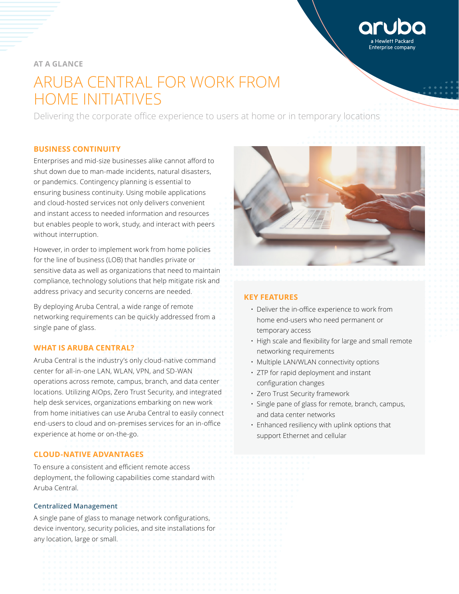Interprise company

# **AT A GLANCE**

# ARUBA CENTRAL FOR WORK FROM HOME INITIATIVES

Delivering the corporate office experience to users at home or in temporary locations

# **BUSINESS CONTINUITY**

Enterprises and mid-size businesses alike cannot afford to shut down due to man-made incidents, natural disasters, or pandemics. Contingency planning is essential to ensuring business continuity. Using mobile applications and cloud-hosted services not only delivers convenient and instant access to needed information and resources but enables people to work, study, and interact with peers without interruption.

However, in order to implement work from home policies for the line of business (LOB) that handles private or sensitive data as well as organizations that need to maintain compliance, technology solutions that help mitigate risk and address privacy and security concerns are needed.

By deploying Aruba Central, a wide range of remote networking requirements can be quickly addressed from a single pane of glass.

# **WHAT IS ARUBA CENTRAL?**

Aruba Central is the industry's only cloud-native command center for all-in-one LAN, WLAN, VPN, and SD-WAN operations across remote, campus, branch, and data center locations. Utilizing AIOps, Zero Trust Security, and integrated help desk services, organizations embarking on new work from home initiatives can use Aruba Central to easily connect end-users to cloud and on-premises services for an in-office experience at home or on-the-go.

# **CLOUD-NATIVE ADVANTAGES**

To ensure a consistent and efficient remote access deployment, the following capabilities come standard with Aruba Central.

# **Centralized Management**

A single pane of glass to manage network configurations, device inventory, security policies, and site installations for any location, large or small.



# **KEY FEATURES**

- Deliver the in-office experience to work from home end-users who need permanent or temporary access
- High scale and flexibility for large and small remote networking requirements
- Multiple LAN/WLAN connectivity options
- ZTP for rapid deployment and instant configuration changes
- Zero Trust Security framework
- Single pane of glass for remote, branch, campus, and data center networks
- Enhanced resiliency with uplink options that support Ethernet and cellular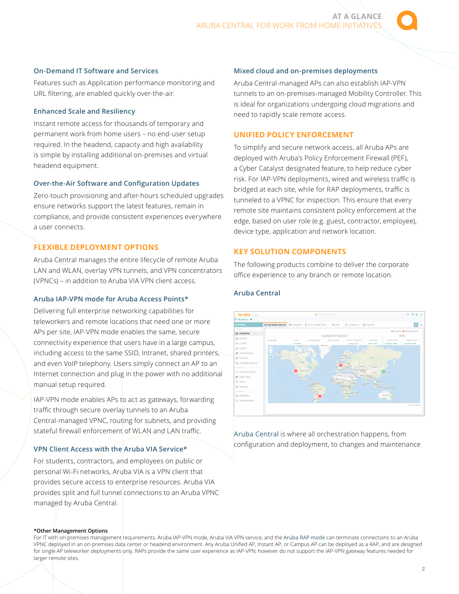## **On-Demand IT Software and Services**

Features such as Application performance monitoring and URL filtering, are enabled quickly over-the-air.

# **Enhanced Scale and Resiliency**

Instant remote access for thousands of temporary and permanent work from home users – no end-user setup required. In the headend, capacity and high availability is simple by installing additional on-premises and virtual headend equipment.

#### **Over-the-Air Software and Configuration Updates**

Zero-touch provisioning and after-hours scheduled upgrades ensure networks support the latest features, remain in compliance, and provide consistent experiences everywhere a user connects.

# **FLEXIBLE DEPLOYMENT OPTIONS**

Aruba Central manages the entire lifecycle of remote Aruba LAN and WLAN, overlay VPN tunnels, and VPN concentrators (VPNCs) – in addition to Aruba VIA VPN client access.

# **Aruba IAP-VPN mode for Aruba Access Points\***

Delivering full enterprise networking capabilities for teleworkers and remote locations that need one or more APs per site, IAP-VPN mode enables the same, secure connectivity experience that users have in a large campus, including access to the same SSID, Intranet, shared printers, and even VoIP telephony. Users simply connect an AP to an Internet connection and plug in the power with no additional manual setup required.

IAP-VPN mode enables APs to act as gateways, forwarding traffic through secure overlay tunnels to an Aruba Central-managed VPNC, routing for subnets, and providing stateful firewall enforcement of WLAN and LAN traffic.

# **VPN Client Access with the Aruba VIA Service\***

For students, contractors, and employees on public or personal Wi-Fi networks, Aruba VIA is a VPN client that provides secure access to enterprise resources. Aruba VIA provides split and full tunnel connections to an Aruba VPNC managed by Aruba Central.

#### **Mixed cloud and on-premises deployments**

Aruba Central-managed APs can also establish IAP-VPN tunnels to an on-premises-managed Mobility Controller. This is ideal for organizations undergoing cloud migrations and need to rapidly scale remote access.

## **UNIFIED POLICY ENFORCEMENT**

To simplify and secure network access, all Aruba APs are deployed with Aruba's Policy Enforcement Firewall (PEF), a Cyber Catalyst designated feature, to help reduce cyber risk. For IAP-VPN deployments, wired and wireless traffic is bridged at each site, while for RAP deployments, traffic is tunneled to a VPNC for inspection. This ensure that every remote site maintains consistent policy enforcement at the edge, based on user role (e.g. guest, contractor, employee), device type, application and network location.

# **KEY SOLUTION COMPONENTS**

The following products combine to deliver the corporate office experience to any branch or remote location.

# **Aruba Central**



[Aruba Central](https://www.arubanetworks.com/products/networking/management/central/) is where all orchestration happens, from configuration and deployment, to changes and maintenance

#### **\*Other Management Options**

For IT with on-premises management requirements, Aruba IAP-VPN mode, Aruba VIA VPN service, and the [Aruba RAP mode](https://www.arubanetworks.com/products/networking/remote-access-points/) can terminate connections to an Aruba VPNC deployed in an on-premises data center or headend environment. Any Aruba Unified AP, Instant AP, or Campus AP can be deployed as a RAP, and are designed for single AP teleworker deployments only. RAPs provide the same user experience as IAP-VPN, however do not support the IAP-VPN gateway features needed for larger remote sites.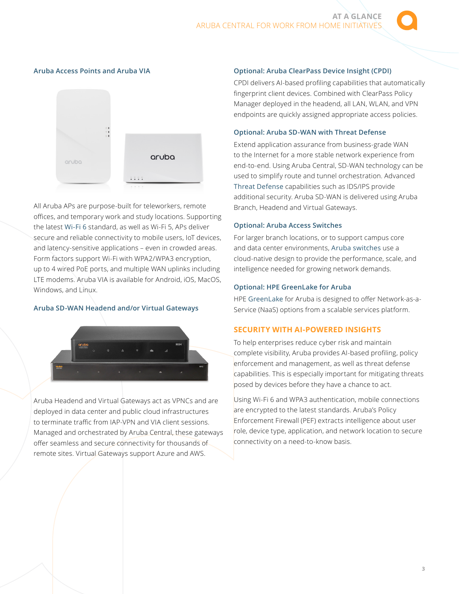## **Aruba Access Points and Aruba VIA**



All Aruba APs are purpose-built for teleworkers, remote offices, and temporary work and study locations. Supporting the latest [Wi-Fi 6](https://www.arubanetworks.com/products/networking/access-points/) standard, as well as Wi-Fi 5, APs deliver secure and reliable connectivity to mobile users, IoT devices, and latency-sensitive applications – even in crowded areas. Form factors support Wi-Fi with WPA2/WPA3 encryption, up to 4 wired PoE ports, and multiple WAN uplinks including LTE modems. Aruba VIA is available for Android, iOS, MacOS, Windows, and Linux.

# **Aruba SD-WAN Headend and/or Virtual Gateways**



Aruba Headend and Virtual Gateways act as VPNCs and are deployed in data center and public cloud infrastructures to terminate traffic from IAP-VPN and VIA client sessions. Managed and orchestrated by Aruba Central, these gateways offer seamless and secure connectivity for thousands of remote sites. Virtual Gateways support Azure and AWS.

#### **Optional: Aruba ClearPass Device Insight (CPDI)**

CPDI delivers AI-based profiling capabilities that automatically fingerprint client devices. Combined with ClearPass Policy Manager deployed in the headend, all LAN, WLAN, and VPN endpoints are quickly assigned appropriate access policies.

#### **Optional: Aruba SD-WAN with Threat Defense**

Extend application assurance from business-grade WAN to the Internet for a more stable network experience from end-to-end. Using Aruba Central, SD-WAN technology can be used to simplify route and tunnel orchestration. Advanced [Threat Defense](https://www.arubanetworks.com/assets/tg/TB_Advanced-Threat-Defense-with-Aruba-SD-Branch.pdf) capabilities such as IDS/IPS provide additional security. Aruba SD-WAN is delivered using Aruba Branch, Headend and Virtual Gateways.

#### **Optional: Aruba Access Switches**

For larger branch locations, or to support campus core and data center environments, [Aruba switches](https://www.arubanetworks.com/products/networking/switches/) use a cloud-native design to provide the performance, scale, and intelligence needed for growing network demands.

#### **Optional: HPE GreenLake for Aruba**

HPE [GreenLake](https://www.arubanetworks.com/assets/support/HPE-GreenLake-for-Aruba.pdf) for Aruba is designed to offer Network-as-a-Service (NaaS) options from a scalable services platform.

# **SECURITY WITH AI-POWERED INSIGHTS**

To help enterprises reduce cyber risk and maintain complete visibility, Aruba provides AI-based profiling, policy enforcement and management, as well as threat defense capabilities. This is especially important for mitigating threats posed by devices before they have a chance to act.

Using Wi-Fi 6 and WPA3 authentication, mobile connections are encrypted to the latest standards. Aruba's Policy Enforcement Firewall (PEF) extracts intelligence about user role, device type, application, and network location to secure connectivity on a need-to-know basis.